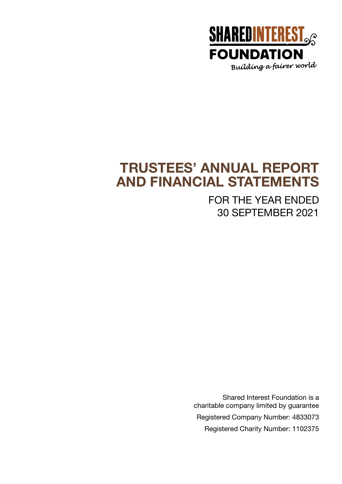

## **TRUSTEES' ANNUAL REPORT AND FINANCIAL STATEMENTS**

FOR THE YEAR ENDED 30 SEPTEMBER 2021

Shared Interest Foundation is a charitable company limited by guarantee Registered Company Number: 4833073 Registered Charity Number: 1102375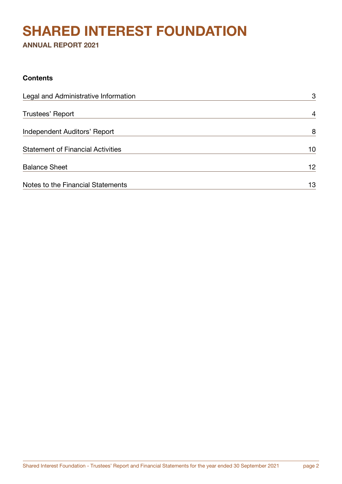## **SHARED INTEREST FOUNDATION**

**ANNUAL REPORT 2021**

## **Contents**

| Legal and Administrative Information     | 3               |
|------------------------------------------|-----------------|
| Trustees' Report                         | $\overline{4}$  |
| Independent Auditors' Report             | 8               |
| <b>Statement of Financial Activities</b> | 10              |
| <b>Balance Sheet</b>                     | 12 <sub>2</sub> |
| Notes to the Financial Statements        | 13              |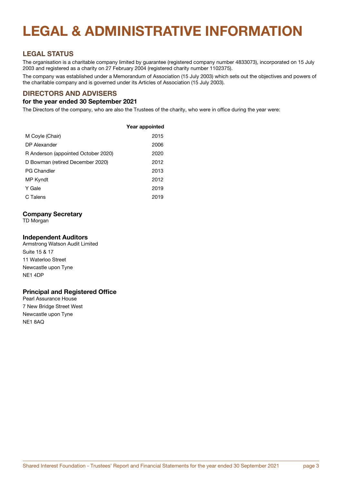# **LEGAL & ADMINISTRATIVE INFORMATION**

## **LEGAL STATUS**

The organisation is a charitable company limited by guarantee (registered company number 4833073), incorporated on 15 July 2003 and registered as a charity on 27 February 2004 (registered charity number 1102375).

The company was established under a Memorandum of Association (15 July 2003) which sets out the objectives and powers of the charitable company and is governed under its Articles of Association (15 July 2003).

## **DIRECTORS AND ADVISERS**

#### **for the year ended 30 September 2021**

The Directors of the company, who are also the Trustees of the charity, who were in office during the year were:

|                                     | Year appointed |
|-------------------------------------|----------------|
| M Coyle (Chair)                     | 2015           |
| DP Alexander                        | 2006           |
| R Anderson (appointed October 2020) | 2020           |
| D Bowman (retired December 2020)    | 2012           |
| <b>PG Chandler</b>                  | 2013           |
| MP Kyndt                            | 2012           |
| Y Gale                              | 2019           |
| C Talens                            | 2019           |
|                                     |                |

#### **Company Secretary**

TD Morgan

#### **Independent Auditors**

Armstrong Watson Audit Limited Suite 15 & 17 11 Waterloo Street Newcastle upon Tyne NE1 4DP

#### **Principal and Registered Office**

Pearl Assurance House 7 New Bridge Street West Newcastle upon Tyne NE1 8AQ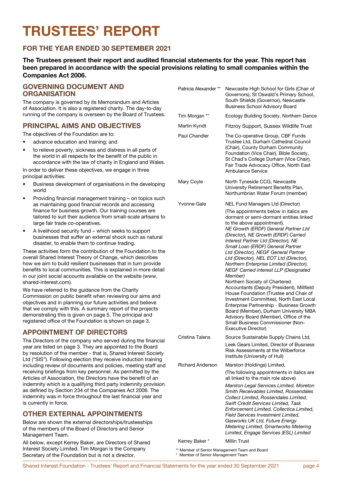# **TRUSTEES' REPORT**

## **FOR THE YEAR ENDED 30 SEPTEMBER 2021**

**The Trustees present their report and audited financial statements for the year. This report has been prepared in accordance with the special provisions relating to small companies within the Companies Act 2006.**

#### **GOVERNING DOCUMENT AND ORGANISATION**

The company is governed by its Memorandum and Articles of Association. It is also a registered charity. The day-to-day running of the company is overseen by the Board of Trustees.

#### **PRINCIPAL AIMS AND OBJECTIVES**

The objectives of the Foundation are to:

- advance education and training; and
- to relieve poverty, sickness and distress in all parts of the world in all respects for the benefit of the public in accordance with the law of charity in England and Wales.

In order to deliver these objectives, we engage in three principal activities:

- Business development of organisations in the developing world
- Providing financial management training on topics such as maintaining good financial records and accessing finance for business growth. Our training courses are tailored to suit their audience from small-scale artisans to large fair trade co-operatives.
- A livelihood security fund which seeks to support businesses that suffer an external shock such as natural disaster, to enable them to continue trading.

These activities form the contribution of the Foundation to the overall Shared Interest Theory of Change, which describes how we aim to build resilient businesses that in turn provide benefits to local communities. This is explained in more detail in our joint social accounts available on the website (www. shared-interest.com).

We have referred to the guidance from the Charity Commission on public benefit when reviewing our aims and objectives and in planning our future activities and believe that we comply with this. A summary report of the projects demonstrating this is given on page 5. The principal and registered office of the Foundation is shown on page 3.

## **APPOINTMENT OF DIRECTORS**

The Directors of the company who served during the financial year are listed on page 3. They are appointed to the Board by resolution of the member - that is, Shared Interest Society Ltd ("SIS"). Following election they receive induction training including review of documents and policies, meeting staff and receiving briefings from key personnel. As permitted by the Articles of Association, the Directors have the benefit of an indemnity which is a qualifying third party indemnity provision as defined by Section 234 of the Companies Act 2006. The indemnity was in force throughout the last financial year and is currently in force.

## **OTHER EXTERNAL APPOINTMENTS**

Below are shown the external directorships/trusteeships of the members of the Board of Directors and Senior Management Team.

All below, except Kerrey Baker, are Directors of Shared Interest Society Limited. Tim Morgan is the Company Secretary of the Foundation but is not a director.

| Patricia Alexander **   | Newcastle High School for Girls (Chair of<br>Governors), St Oswald's Primary School,<br>South Shields (Governor), Newcastle<br><b>Business School Advisory Board</b>                                                                                                                                                                                                                                                                                                                                                                                                                                                                                                                                                                                                                                                        |
|-------------------------|-----------------------------------------------------------------------------------------------------------------------------------------------------------------------------------------------------------------------------------------------------------------------------------------------------------------------------------------------------------------------------------------------------------------------------------------------------------------------------------------------------------------------------------------------------------------------------------------------------------------------------------------------------------------------------------------------------------------------------------------------------------------------------------------------------------------------------|
| Tim Morgan **           | Ecology Building Society, Northern Dance                                                                                                                                                                                                                                                                                                                                                                                                                                                                                                                                                                                                                                                                                                                                                                                    |
| Martin Kyndt            | Fitzroy Support, Sussex Wildlife Trust                                                                                                                                                                                                                                                                                                                                                                                                                                                                                                                                                                                                                                                                                                                                                                                      |
| Paul Chandler           | The Co-operative Group, CBF Funds<br>Trustee Ltd, Durham Cathedral Council<br>(Chair), County Durham Community<br>Foundation (Vice Chair), Bible Society,<br>St Chad's College Durham (Vice Chair),<br>Fair Trade Advocacy Office, North East<br>Ambulance Service                                                                                                                                                                                                                                                                                                                                                                                                                                                                                                                                                          |
| Mary Coyle              | North Tyneside CCG, Newcastle<br>University Retirement Benefits Plan,<br>Northumbrian Water Forum (member)                                                                                                                                                                                                                                                                                                                                                                                                                                                                                                                                                                                                                                                                                                                  |
| Yvonne Gale             | <b>NEL Fund Managers Ltd (Director)</b>                                                                                                                                                                                                                                                                                                                                                                                                                                                                                                                                                                                                                                                                                                                                                                                     |
|                         | (The appointments below in italics are<br>dormant or semi-dormant entities linked<br>to the above appointment).<br>NE Growth (ERDF) General Partner Ltd<br>(Director), NE Growth (ERDF) Carried<br>Interest Partner Ltd (Director), NE<br>Small Loan (ERDF) General Partner<br>Ltd (Director), NEGF General Partner<br>Ltd (Director), NEL EOT Ltd (Director),<br>Northern Enterprise Limited (Director),<br>NEGF Carried interest LLP (Designated<br>Member)<br>Northern Society of Chartered<br>Accountants (Deputy President), Millfield<br>House Foundation (Trustee and Chair of<br>Investment Committee), North East Local<br>Enterprise Partnership - Business Growth<br>Board (Member), Durham University MBA<br>Advisory Board (Member), Office of the<br>Small Business Commissioner (Non-<br>Executive Director) |
| Cristina Talens         | Source Sustainable Supply Chains Ltd,                                                                                                                                                                                                                                                                                                                                                                                                                                                                                                                                                                                                                                                                                                                                                                                       |
|                         | Leek Gears Limited, Director of Business<br>Risk Assessments at the Wilberforce<br>Institute (University of Hull)                                                                                                                                                                                                                                                                                                                                                                                                                                                                                                                                                                                                                                                                                                           |
| <b>Richard Anderson</b> | Marston (Holdings) Limited,                                                                                                                                                                                                                                                                                                                                                                                                                                                                                                                                                                                                                                                                                                                                                                                                 |
|                         | (The following appointments in italics are<br>all linked to the main role above)                                                                                                                                                                                                                                                                                                                                                                                                                                                                                                                                                                                                                                                                                                                                            |
|                         | Marston Legal Services Limited, Moreton<br>Smith Receivables Limited, Rossendales<br>Collect Limited. Rossendales Limited.<br>Swift Credit Services Limited, Task<br>Enforcement Limited, Collectica Limited,<br>Field Services Investment Limited,<br>Gasworks UK Ltd, Future Energy<br>Metering Limited, Smartworks Metering<br>Limited, Engage Services (ESL) Limited                                                                                                                                                                                                                                                                                                                                                                                                                                                    |

Kerrey Baker \* Millin Trust

\*\* Member of Senior Management Team and Board \* Member of Senior Management Team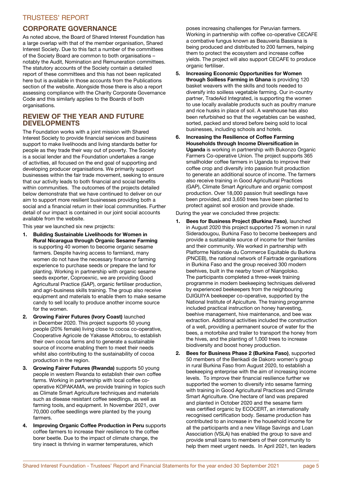## TRUSTEES' REPORT

#### **CORPORATE GOVERNANCE**

As noted above, the Board of Shared Interest Foundation has a large overlap with that of the member organisation, Shared Interest Society. Due to this fact a number of the committees of the Society Board are common to both organisations – notably the Audit, Nomination and Remuneration committees. The statutory accounts of the Society contain a detailed report of these committees and this has not been replicated here but is available in those accounts from the Publications section of the website. Alongside those there is also a report assessing compliance with the Charity Corporate Governance Code and this similarly applies to the Boards of both organisations.

#### **REVIEW OF THE YEAR AND FUTURE DEVELOPMENTS**

The Foundation works with a joint mission with Shared Interest Society to provide financial services and business support to make livelihoods and living standards better for people as they trade their way out of poverty. The Society is a social lender and the Foundation undertakes a range of activities, all focused on the end goal of supporting and developing producer organisations. We primarily support businesses within the fair trade movement, seeking to ensure that our activity leads to both financial and social benefits within communities. The outcomes of the projects detailed below demonstrate that we have continued to deliver on our aim to support more resilient businesses providing both a social and a financial return in their local communities. Further detail of our impact is contained in our joint social accounts available from the website.

This year we launched six new projects:

- 1. Building Sustainable Livelihoods for Women in Rural Nicaragua through Organic Sesame Farming is supporting 40 women to become organic sesame farmers. Despite having access to farmland, many women do not have the necessary finance or farming experience to purchase seeds or prepare the land for planting. Working in partnership with organic sesame seeds exporter, Coproexnic, we are providing Good Agricultural Practice (GAP), organic fertiliser production, and agri-business skills training. The group also receive equipment and materials to enable them to make sesame candy to sell locally to produce another income source for the women.
- 2. Growing Fairer Futures (Ivory Coast) launched in December 2020. This project supports 50 young people (20% female) living close to cocoa co-operative, Cooperative Agricole de Yakasse Attobrou, to establish their own cocoa farms and to generate a sustainable source of income enabling them to meet their needs whilst also contributing to the sustainability of cocoa production in the region.
- 3. Growing Fairer Futures (Rwanda) supports 50 young people in western Rwanda to establish their own coffee farms. Working in partnership with local coffee cooperative KOPAKAMA, we provide training in topics such as Climate Smart Agriculture techniques and materials such as disease resistant coffee seedlings, as well as farming tools, and equipment. In November 2021, over 70,000 coffee seedlings were planted by the young farmers.
- 4. Improving Organic Coffee Production in Peru supports coffee farmers to increase their resilience to the coffee borer beetle. Due to the impact of climate change, the tiny insect is thriving in warmer temperatures, which

poses increasing challenges for Peruvian farmers. Working in partnership with coffee co-operative CECAFE a combative fungus known as Beauveria Bassiana is being produced and distributed to 200 farmers, helping them to protect the ecosystem and increase coffee yields. The project will also support CECAFE to produce organic fertiliser.

- 5. Increasing Economic Opportunities for Women through Soilless Farming in Ghana is providing 120 basket weavers with the skills and tools needed to diversify into soilless vegetable farming. Our in-country partner, TradeAid Integrated, is supporting the women to use locally available products such as poultry manure and rice husks in place of soil. A warehouse has also been refurbished so that the vegetables can be washed, sorted, packed and stored before being sold to local businesses, including schools and hotels.
- 6. Increasing the Resilience of Coffee Farming Households through Income Diversification in Uganda is working in partnership with Bukonzo Organic Farmers Co-operative Union. The project supports 365 smallholder coffee farmers in Uganda to improve their coffee crop and diversify into passion fruit production to generate an additional source of income. The farmers also receive training in Good Agricultural Practices (GAP), Climate Smart Agriculture and organic compost production. Over 18,000 passion fruit seedlings have been provided, and 3,650 trees have been planted to protect against soil erosion and provide shade.

During the year we concluded three projects:

- 1. Bees for Business Project (Burkina Faso), launched in August 2020 this project supported 75 women in rural Sideradougou, Burkina Faso to become beekeepers and provide a sustainable source of income for their families and their community. We worked in partnership with Platforme Nationale du Commerce Equitable du Burkina (PNCEB), the national network of Fairtrade organisations in Burkina Faso and the group received 300 modern beehives, built in the nearby town of Niangoloko. The participants completed a three-week training programme in modern beekeeping techniques delivered by experienced beekeepers from the neighbouring DJIGUIYA beekeeper co-operative, supported by the National Institute of Apiculture. The training programme included practical instruction on honey harvesting, beehive management, hive maintenance, and bee wax extraction. Additional activities included the construction of a well, providing a permanent source of water for the bees, a motorbike and trailer to transport the honey from the hives, and the planting of 1,000 trees to increase biodiversity and boost honey production.
- 2. Bees for Business Phase 2 (Burkina Faso), supported 50 members of the Benkadi de Dakoro women's group in rural Burkina Faso from August 2020, to establish a beekeeping enterprise with the aim of increasing income levels. To improve their financial resilience further we supported the women to diversify into sesame farming with training in Good Agricultural Practices and Climate Smart Agriculture. One hectare of land was prepared and planted in October 2020 and the sesame farm was certified organic by ECOCERT, an internationally recognised certification body. Sesame production has contributed to an increase in the household income for all the participants and a new Village Savings and Loan Association (VSLA) has enabled the group to save and provide small loans to members of their community to help them meet urgent needs. In April 2021, ten leaders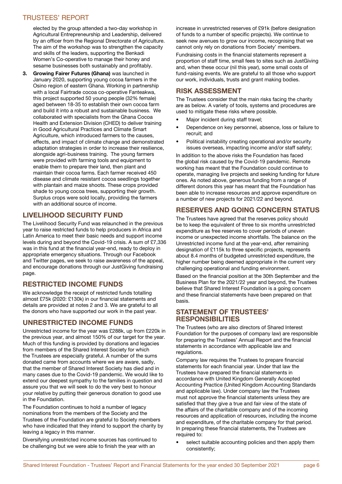## TRUSTEES' REPORT

elected by the group attended a two-day workshop in Agricultural Entrepreneurship and Leadership, delivered by an officer from the Regional Directorate of Agriculture. The aim of the workshop was to strengthen the capacity and skills of the leaders, supporting the Benkadi Women's Co-operative to manage their honey and sesame businesses both sustainably and profitably.

3. Growing Fairer Futures (Ghana) was launched in January 2020, supporting young cocoa farmers in the Osino region of eastern Ghana. Working in partnership with a local Fairtrade cocoa co-operative Fanteakwa, this project supported 50 young people (32% female) aged between 18-35 to establish their own cocoa farm and build it into a robust and sustainable business. We collaborated with specialists from the Ghana Cocoa Health and Extension Division (CHED) to deliver training in Good Agricultural Practices and Climate Smart Agriculture, which introduced farmers to the causes, effects, and impact of climate change and demonstrated adaptation strategies in order to increase their resilience, alongside agri-business training. The young farmers were provided with farming tools and equipment to enable them to prepare their land, then plant and maintain their cocoa farms. Each farmer received 450 disease and climate resistant cocoa seedlings together with plantain and maize shoots. These crops provided shade to young cocoa trees, supporting their growth. Surplus crops were sold locally, providing the farmers with an additional source of income.

## LIVELIHOOD SECURITY FUND

The Livelihood Security Fund was relaunched in the previous year to raise restricted funds to help producers in Africa and Latin America to meet their basic needs and support income levels during and beyond the Covid-19 crisis. A sum of £7,336 was in this fund at the financial year-end, ready to deploy in appropriate emergency situations. Through our Facebook and Twitter pages, we seek to raise awareness of the appeal, and encourage donations through our JustGiving fundraising page.

## RESTRICTED INCOME FUNDS

We acknowledge the receipt of restricted funds totalling almost £75k (2020: £130k) in our financial statements and details are provided at notes 2 and 3. We are grateful to all the donors who have supported our work in the past year.

## UNRESTRICTED INCOME FUNDS

Unrestricted income for the year was £288k, up from £220k in the previous year, and almost 150% of our target for the year. Much of this funding is provided by donations and legacies from members of the Shared Interest Society for which the Trustees are especially grateful. A number of the sums donated came from accounts where we are aware, sadly, that the member of Shared Interest Society has died and in many cases due to the Covid-19 pandemic. We would like to extend our deepest sympathy to the families in question and assure you that we will seek to do the very best to honour your relative by putting their generous donation to good use in the Foundation.

The Foundation continues to hold a number of legacy nominations from the members of the Society and the Trustees of the Foundation are grateful to Society members who have indicated that they intend to support the charity by leaving a legacy in this manner.

Diversifying unrestricted income sources has continued to be challenging but we were able to finish the year with an

increase in unrestricted reserves of £91k (before designation of funds to a number of specific projects). We continue to seek new avenues to grow our income, recognising that we cannot only rely on donations from Society' members.

Fundraising costs in the financial statements represent a proportion of staff time, small fees to sites such as JustGiving and, when these occur (nil this year), some small costs of fund-raising events. We are grateful to all those who support our work, individuals, trusts and grant making bodies.

## RISK ASSESSMENT

The Trustees consider that the main risks facing the charity are as below. A variety of tools, systems and procedures are used to mitigate these risks where possible.

- Major incident during staff travel;
- Dependence on key personnel, absence, loss or failure to recruit; and
- Political instability creating operational and/or security issues overseas, impacting income and/or staff safety;

In addition to the above risks the Foundation has faced the global risk caused by the Covid-19 pandemic. Remote working has meant that the Foundation could continue to operate, managing live projects and seeking funding for future ones. As noted above, generous funding from a range of different donors this year has meant that the Foundation has been able to increase resources and approve expenditure on a number of new projects for 2021/22 and beyond.

## **RESERVES AND GOING CONCERN STATUS**

The Trustees have agreed that the reserves policy should be to keep the equivalent of three to six months unrestricted expenditure as free reserves to cover periods of uneven income or unexpected income shortfalls. The balance on the Unrestricted income fund at the year-end, after remaining designation of £115k to three specific projects, represents about 8.4 months of budgeted unrestricted expenditure, the higher number being deemed appropriate in the current very challenging operational and funding environment.

Based on the financial position at the 30th September and the Business Plan for the 2021/22 year and beyond, the Trustees believe that Shared Interest Foundation is a going concern and these financial statements have been prepared on that basis.

#### **STATEMENT OF TRUSTEES' RESPONSIBILITIES**

The Trustees (who are also directors of Shared Interest Foundation for the purposes of company law) are responsible for preparing the Trustees' Annual Report and the financial statements in accordance with applicable law and regulations.

Company law requires the Trustees to prepare financial statements for each financial year. Under that law the Trustees have prepared the financial statements in accordance with United Kingdom Generally Accepted Accounting Practice (United Kingdom Accounting Standards and applicable law). Under company law the Trustees must not approve the financial statements unless they are satisfied that they give a true and fair view of the state of the affairs of the charitable company and of the incoming resources and application of resources, including the income and expenditure, of the charitable company for that period. In preparing these financial statements, the Trustees are required to:

select suitable accounting policies and then apply them consistently;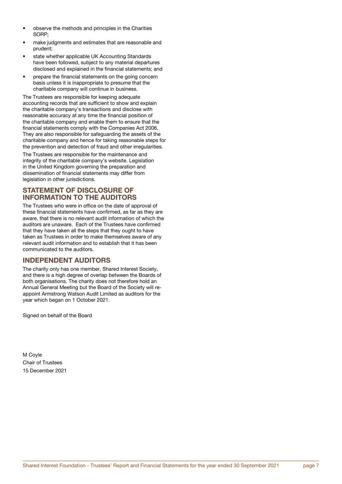- observe the methods and principles in the Charities SORP;
- make judgments and estimates that are reasonable and prudent;
- state whether applicable UK Accounting Standards have been followed, subject to any material departures disclosed and explained in the financial statements; and
- prepare the financial statements on the going concern basis unless it is inappropriate to presume that the charitable company will continue in business.

The Trustees are responsible for keeping adequate accounting records that are sufficient to show and explain the charitable company's transactions and disclose with reasonable accuracy at any time the financial position of the charitable company and enable them to ensure that the financial statements comply with the Companies Act 2006. They are also responsible for safeguarding the assets of the charitable company and hence for taking reasonable steps for the prevention and detection of fraud and other irregularities.

The Trustees are responsible for the maintenance and integrity of the charitable company's website. Legislation in the United Kingdom governing the preparation and dissemination of financial statements may differ from legislation in other jurisdictions.

#### **STATEMENT OF DISCLOSURE OF INFORMATION TO THE AUDITORS**

The Trustees who were in office on the date of approval of these financial statements have confirmed, as far as they are aware, that there is no relevant audit information of which the auditors are unaware. Each of the Trustees have confirmed that they have taken all the steps that they ought to have taken as Trustees in order to make themselves aware of any relevant audit information and to establish that it has been communicated to the auditors.

## **INDEPENDENT AUDITORS**

The charity only has one member, Shared Interest Society, and there is a high degree of overlap between the Boards of both organisations. The charity does not therefore hold an Annual General Meeting but the Board of the Society will reappoint Armstrong Watson Audit Limited as auditors for the year which began on 1 October 2021.

Signed on behalf of the Board

M Coyle Chair of Trustees 15 December 2021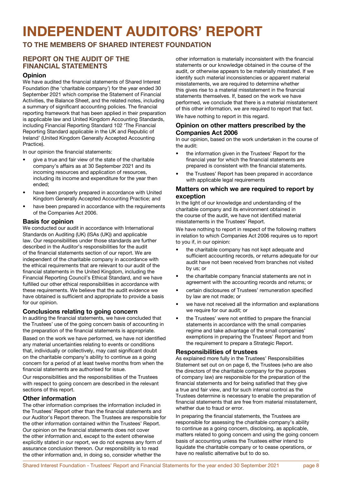# **INDEPENDENT AUDITORS' REPORT**

**TO THE MEMBERS OF SHARED INTEREST FOUNDATION**

#### **REPORT ON THE AUDIT OF THE FINANCIAL STATEMENTS**

#### **Opinion**

We have audited the financial statements of Shared Interest Foundation (the 'charitable company') for the year ended 30 September 2021 which comprise the Statement of Financial Activities, the Balance Sheet, and the related notes, including a summary of significant accounting policies. The financial reporting framework that has been applied in their preparation is applicable law and United Kingdom Accounting Standards, including Financial Reporting Standard 102 'The Financial Reporting Standard applicable in the UK and Republic of Ireland' (United Kingdom Generally Accepted Accounting Practice).

In our opinion the financial statements:

- give a true and fair view of the state of the charitable company's affairs as at 30 September 2021 and its incoming resources and application of resources, including its income and expenditure for the year then ended;
- have been properly prepared in accordance with United Kingdom Generally Accepted Accounting Practice; and
- have been prepared in accordance with the requirements of the Companies Act 2006.

#### **Basis for opinion**

We conducted our audit in accordance with International Standards on Auditing (UK) (ISAs (UK)) and applicable law. Our responsibilities under those standards are further described in the Auditor's responsibilities for the audit of the financial statements section of our report. We are independent of the charitable company in accordance with the ethical requirements that are relevant to our audit of the financial statements in the United Kingdom, including the Financial Reporting Council's Ethical Standard, and we have fulfilled our other ethical responsibilities in accordance with these requirements. We believe that the audit evidence we have obtained is sufficient and appropriate to provide a basis for our opinion.

#### **Conclusions relating to going concern**

In auditing the financial statements, we have concluded that the Trustees' use of the going concern basis of accounting in the preparation of the financial statements is appropriate.

Based on the work we have performed, we have not identified any material uncertainties relating to events or conditions that, individually or collectively, may cast significant doubt on the charitable company's ability to continue as a going concern for a period of at least twelve months from when the financial statements are authorised for issue.

Our responsibilities and the responsibilities of the Trustees with respect to going concern are described in the relevant sections of this report.

#### **Other information**

The other information comprises the information included in the Trustees' Report other than the financial statements and our Auditor's Report thereon. The Trustees are responsible for the other information contained within the Trustees' Report. Our opinion on the financial statements does not cover the other information and, except to the extent otherwise explicitly stated in our report, we do not express any form of assurance conclusion thereon. Our responsibility is to read the other information and, in doing so, consider whether the

other information is materially inconsistent with the financial statements or our knowledge obtained in the course of the audit, or otherwise appears to be materially misstated. If we identify such material inconsistencies or apparent material misstatements, we are required to determine whether this gives rise to a material misstatement in the financial statements themselves. If, based on the work we have performed, we conclude that there is a material misstatement of this other information, we are required to report that fact. We have nothing to report in this regard.

**Opinion on other matters prescribed by the Companies Act 2006**

In our opinion, based on the work undertaken in the course of the audit:

- the information given in the Trustees' Report for the financial year for which the financial statements are prepared is consistent with the financial statements.
- the Trustees' Report has been prepared in accordance with applicable legal requirements

#### **Matters on which we are required to report by exception**

In the light of our knowledge and understanding of the charitable company and its environment obtained in the course of the audit, we have not identified material misstatements in the Trustees' Report.

We have nothing to report in respect of the following matters in relation to which Companies Act 2006 requires us to report to you if, in our opinion:

- the charitable company has not kept adequate and sufficient accounting records, or returns adequate for our audit have not been received from branches not visited by us; or
- the charitable company financial statements are not in agreement with the accounting records and returns; or
- certain disclosures of Trustees' remuneration specified by law are not made; or
- we have not received all the information and explanations we require for our audit; or
- the Trustees' were not entitled to prepare the financial statements in accordance with the small companies regime and take advantage of the small companies' exemptions in preparing the Trustees' Report and from the requirement to prepare a Strategic Report.

#### **Responsibilities of trustees**

As explained more fully in the Trustees' Responsibilities Statement set out on on page 6, the Trustees (who are also the directors of the charitable company for the purposes of company law) are responsible for the preparation of the financial statements and for being satisfied that they give a true and fair view, and for such internal control as the Trustees determine is necessary to enable the preparation of financial statements that are free from material misstatement, whether due to fraud or error.

In preparing the financial statements, the Trustees are responsible for assessing the charitable company's ability to continue as a going concern, disclosing, as applicable, matters related to going concern and using the going concern basis of accounting unless the Trustees either intend to liquidate the charitable company or to cease operations, or have no realistic alternative but to do so.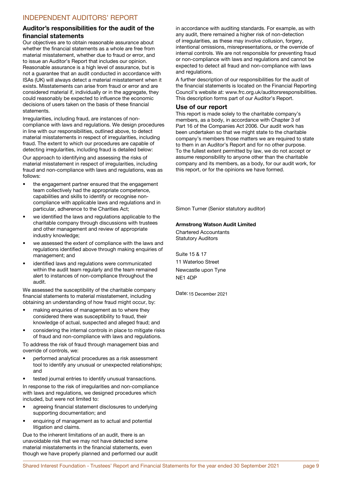#### **Auditor's responsibilities for the audit of the financial statements**

Our objectives are to obtain reasonable assurance about whether the financial statements as a whole are free from material misstatement, whether due to fraud or error, and to issue an Auditor's Report that includes our opinion. Reasonable assurance is a high level of assurance, but is not a guarantee that an audit conducted in accordance with ISAs (UK) will always detect a material misstatement when it exists. Misstatements can arise from fraud or error and are considered material if, individually or in the aggregate, they could reasonably be expected to influence the economic decisions of users taken on the basis of these financial statements.

Irregularities, including fraud, are instances of noncompliance with laws and regulations. We design procedures in line with our responsibilities, outlined above, to detect material misstatements in respect of irregularities, including fraud. The extent to which our procedures are capable of detecting irregularities, including fraud is detailed below:

Our approach to identifying and assessing the risks of material misstatement in respect of irregularities, including fraud and non-compliance with laws and regulations, was as follows:

- the engagement partner ensured that the engagement team collectively had the appropriate competence, capabilities and skills to identify or recognise noncompliance with applicable laws and regulations and in particular, adherence to the Charities Act;
- we identified the laws and regulations applicable to the charitable company through discussions with trustees and other management and review of appropriate industry knowledge;
- we assessed the extent of compliance with the laws and regulations identified above through making enquiries of management; and
- identified laws and regulations were communicated within the audit team regularly and the team remained alert to instances of non-compliance throughout the audit.

We assessed the susceptibility of the charitable company financial statements to material misstatement, including obtaining an understanding of how fraud might occur, by:

- making enquiries of management as to where they considered there was susceptibility to fraud, their knowledge of actual, suspected and alleged fraud; and
- considering the internal controls in place to mitigate risks of fraud and non-compliance with laws and regulations.

To address the risk of fraud through management bias and override of controls, we:

- performed analytical procedures as a risk assessment tool to identify any unusual or unexpected relationships; and
- tested journal entries to identify unusual transactions.

In response to the risk of irregularities and non-compliance with laws and regulations, we designed procedures which included, but were not limited to:

- agreeing financial statement disclosures to underlying supporting documentation; and
- enquiring of management as to actual and potential litigation and claims.

Due to the inherent limitations of an audit, there is an unavoidable risk that we may not have detected some material misstatements in the financial statements, even though we have properly planned and performed our audit in accordance with auditing standards. For example, as with any audit, there remained a higher risk of non-detection of irregularities, as these may involve collusion, forgery, intentional omissions, misrepresentations, or the override of internal controls. We are not responsible for preventing fraud or non-compliance with laws and regulations and cannot be expected to detect all fraud and non-compliance with laws and regulations.

A further description of our responsibilities for the audit of the financial statements is located on the Financial Reporting Council's website at: www.frc.org.uk/auditorsresponsibilities. This description forms part of our Auditor's Report.

#### **Use of our report**

This report is made solely to the charitable company's members, as a body, in accordance with Chapter 3 of Part 16 of the Companies Act 2006. Our audit work has been undertaken so that we might state to the charitable company's members those matters we are required to state to them in an Auditor's Report and for no other purpose. To the fullest extent permitted by law, we do not accept or assume responsibility to anyone other than the charitable company and its members, as a body, for our audit work, for this report, or for the opinions we have formed.

Simon Turner (Senior statutory auditor)

#### **Armstrong Watson Audit Limited**

Chartered Accountants Statutory Auditors

Suite 15 & 17 11 Waterloo Street Newcastle upon Tyne NE1 4DP

Date: 15 December 2021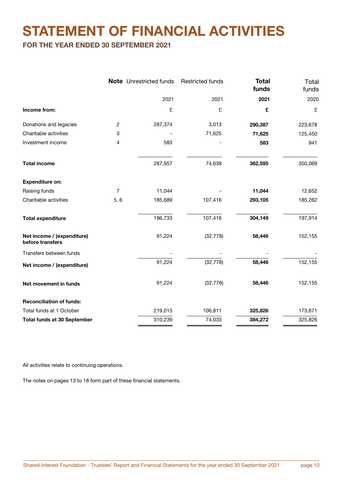## **STATEMENT OF FINANCIAL ACTIVITIES**

**FOR THE YEAR ENDED 30 SEPTEMBER 2021**

|                                                |                         | <b>Note</b> Unrestricted funds | <b>Restricted funds</b> | <b>Total</b><br>funds | Total<br>funds |
|------------------------------------------------|-------------------------|--------------------------------|-------------------------|-----------------------|----------------|
|                                                |                         | 2021                           | 2021                    | 2021                  | 2020           |
| Income from:                                   |                         | £                              | £                       | £                     | £              |
| Donations and legacies                         | $\overline{\mathbf{c}}$ | 287,374                        | 3,013                   | 290,387               | 223,678        |
| Charitable activities                          | 3                       |                                | 71,625                  | 71,625                | 125,450        |
| Investment income                              | 4                       | 583                            |                         | 583                   | 941            |
| <b>Total income</b>                            |                         | 287,957                        | 74,638                  | 362,595               | 350,069        |
| <b>Expenditure on:</b>                         |                         |                                |                         |                       |                |
| Raising funds                                  | $\overline{7}$          | 11,044                         |                         | 11,044                | 12,652         |
| Charitable activities                          | 5,6                     | 185,689                        | 107,416                 | 293,105               | 185,262        |
| <b>Total expenditure</b>                       |                         | 196,733                        | 107,416                 | 304,149               | 197,914        |
| Net income / (expenditure)<br>before transfers |                         | 91,224                         | (32, 778)               | 58,446                | 152,155        |
| Transfers between funds                        |                         |                                |                         |                       |                |
| Net income / (expenditure)                     |                         | 91,224                         | (32, 778)               | 58,446                | 152,155        |
| Net movement in funds                          |                         | 91,224                         | (32, 778)               | 58,446                | 152,155        |
| <b>Reconciliation of funds:</b>                |                         |                                |                         |                       |                |
| Total funds at 1 October                       |                         | 219,015                        | 106,811                 | 325,826               | 173,671        |
| <b>Total funds at 30 September</b>             |                         | 310,239                        | 74,033                  | 384,272               | 325,826        |

All activities relate to continuing operations.

The notes on pages 13 to 18 form part of these financial statements.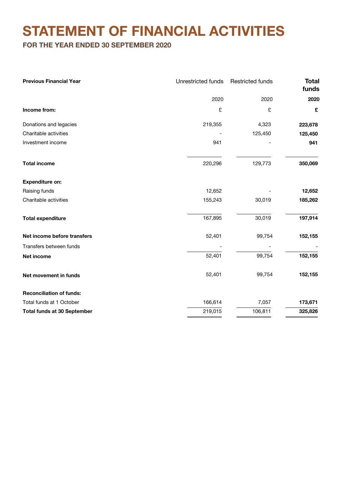## **STATEMENT OF FINANCIAL ACTIVITIES**

**FOR THE YEAR ENDED 30 SEPTEMBER 2020**

| <b>Previous Financial Year</b>     | <b>Unrestricted funds</b> | <b>Restricted funds</b> | <b>Total</b><br>funds |
|------------------------------------|---------------------------|-------------------------|-----------------------|
|                                    | 2020                      | 2020                    | 2020                  |
| Income from:                       | £                         | £                       | £                     |
| Donations and legacies             | 219,355                   | 4,323                   | 223,678               |
| Charitable activities              |                           | 125,450                 | 125,450               |
| Investment income                  | 941                       |                         | 941                   |
| <b>Total income</b>                | 220,296                   | 129,773                 | 350,069               |
| <b>Expenditure on:</b>             |                           |                         |                       |
| Raising funds                      | 12,652                    |                         | 12,652                |
| Charitable activities              | 155,243                   | 30,019                  | 185,262               |
| <b>Total expenditure</b>           | 167,895                   | 30,019                  | 197,914               |
| Net income before transfers        | 52,401                    | 99,754                  | 152,155               |
| Transfers between funds            |                           |                         |                       |
| Net income                         | 52,401                    | 99,754                  | 152,155               |
| Net movement in funds              | 52,401                    | 99,754                  | 152,155               |
| <b>Reconciliation of funds:</b>    |                           |                         |                       |
| Total funds at 1 October           | 166,614                   | 7,057                   | 173,671               |
| <b>Total funds at 30 September</b> | 219,015                   | 106,811                 | 325,826               |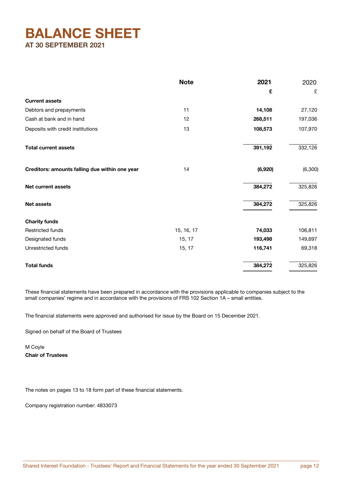## **BALANCE SHEET AT 30 SEPTEMBER 2021**

|                                                | <b>Note</b> | 2021    | 2020     |
|------------------------------------------------|-------------|---------|----------|
|                                                |             | £       | £        |
| <b>Current assets</b>                          |             |         |          |
| Debtors and prepayments                        | 11          | 14,108  | 27,120   |
| Cash at bank and in hand                       | 12          | 268,511 | 197,036  |
| Deposits with credit institutions              | 13          | 108,573 | 107,970  |
| <b>Total current assets</b>                    |             | 391,192 | 332,126  |
| Creditors: amounts falling due within one year | 14          | (6,920) | (6, 300) |
| <b>Net current assets</b>                      |             | 384,272 | 325,826  |
| <b>Net assets</b>                              |             | 384,272 | 325,826  |
| <b>Charity funds</b>                           |             |         |          |
| <b>Restricted funds</b>                        | 15, 16, 17  | 74,033  | 106,811  |
| Designated funds                               | 15, 17      | 193,498 | 149,697  |
| Unrestricted funds                             | 15, 17      | 116,741 | 69,318   |
| <b>Total funds</b>                             |             | 384,272 | 325,826  |

These financial statements have been prepared in accordance with the provisions applicable to companies subject to the small companies' regime and in accordance with the provisions of FRS 102 Section 1A – small entities.

The financial statements were approved and authorised for issue by the Board on 15 December 2021.

Signed on behalf of the Board of Trustees

M Coyle Chair of Trustees

The notes on pages 13 to 18 form part of these financial statements.

Company registration number: 4833073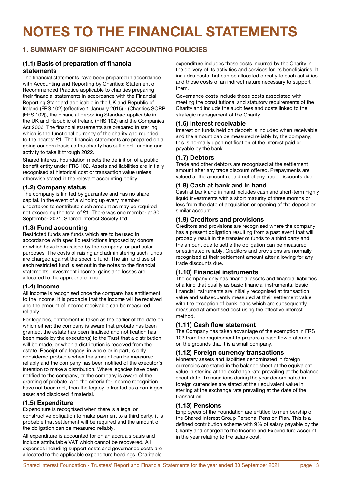# **NOTES TO THE FINANCIAL STATEMENTS**

## **1. SUMMARY OF SIGNIFICANT ACCOUNTING POLICIES**

#### **(1.1) Basis of preparation of financial statements**

The financial statements have been prepared in accordance with Accounting and Reporting by Charities: Statement of Recommended Practice applicable to charities preparing their financial statements in accordance with the Financial Reporting Standard applicable in the UK and Republic of Ireland (FRS 102) (effective 1 January 2015) - (Charities SORP (FRS 102)), the Financial Reporting Standard applicable in the UK and Republic of Ireland (FRS 102) and the Companies Act 2006. The financial statements are prepared in sterling which is the functional currency of the charity and rounded to the nearest £1. The financial statements are prepared on a going concern basis as the charity has sufficient funding and activity to take it through 2022.

Shared Interest Foundation meets the definition of a public benefit entity under FRS 102. Assets and liabilities are initially recognised at historical cost or transaction value unless otherwise stated in the relevant accounting policy.

#### **(1.2) Company status**

The company is limited by guarantee and has no share capital. In the event of a winding up every member undertakes to contribute such amount as may be required not exceeding the total of £1. There was one member at 30 September 2021, Shared Interest Society Ltd.

#### **(1.3) Fund accounting**

Restricted funds are funds which are to be used in accordance with specific restrictions imposed by donors or which have been raised by the company for particular purposes. The costs of raising and administering such funds are charged against the specific fund. The aim and use of each restricted fund is set out in the notes to the financial statements. Investment income, gains and losses are allocated to the appropriate fund.

## **(1.4) Income**

All income is recognised once the company has entitlement to the income, it is probable that the income will be received and the amount of income receivable can be measured reliably.

For legacies, entitlement is taken as the earlier of the date on which either: the company is aware that probate has been granted, the estate has been finalised and notification has been made by the executor(s) to the Trust that a distribution will be made, or when a distribution is received from the estate. Receipt of a legacy, in whole or in part, is only considered probable when the amount can be measured reliably and the company has been notified of the executor's intention to make a distribution. Where legacies have been notified to the company, or the company is aware of the granting of probate, and the criteria for income recognition have not been met, then the legacy is treated as a contingent asset and disclosed if material.

#### **(1.5) Expenditure**

Expenditure is recognised when there is a legal or constructive obligation to make payment to a third party, it is probable that settlement will be required and the amount of the obligation can be measured reliably.

All expenditure is accounted for on an accruals basis and include attributable VAT which cannot be recovered. All expenses including support costs and governance costs are allocated to the applicable expenditure headings. Charitable expenditure includes those costs incurred by the Charity in the delivery of its activities and services for its beneficiaries. It includes costs that can be allocated directly to such activities and those costs of an indirect nature necessary to support them.

Governance costs include those costs associated with meeting the constitutional and statutory requirements of the Charity and include the audit fees and costs linked to the strategic management of the Charity.

#### **(1.6) Interest receivable**

Interest on funds held on deposit is included when receivable and the amount can be measured reliably by the company; this is normally upon notification of the interest paid or payable by the bank.

## **(1.7) Debtors**

Trade and other debtors are recognised at the settlement amount after any trade discount offered. Prepayments are valued at the amount repaid net of any trade discounts due.

## **(1.8) Cash at bank and in hand**

Cash at bank and in hand includes cash and short-term highly liquid investments with a short maturity of three months or less from the date of acquisition or opening of the deposit or similar account.

#### **(1.9) Creditors and provisions**

Creditors and provisions are recognised where the company has a present obligation resulting from a past event that will probably result in the transfer of funds to a third party and the amount due to settle the obligation can be measured or estimated reliably. Creditors and provisions are normally recognised at their settlement amount after allowing for any trade discounts due.

## **(1.10) Financial instruments**

The company only has financial assets and financial liabilities of a kind that qualify as basic financial instruments. Basic financial instruments are initially recognised at transaction value and subsequently measured at their settlement value with the exception of bank loans which are subsequently measured at amortised cost using the effective interest method.

## **(1.11) Cash flow statement**

The Company has taken advantage of the exemption in FRS 102 from the requirement to prepare a cash flow statement on the grounds that it is a small company.

## **(1.12) Foreign currency transactions**

Monetary assets and liabilities denominated in foreign currencies are stated in the balance sheet at the equivalent value in sterling at the exchange rate prevailing at the balance sheet date. Transactions during the year denominated in foreign currencies are stated at their equivalent value in sterling at the exchange rate prevailing at the date of the transaction.

#### **(1.13) Pensions**

Employees of the Foundation are entitled to membership of the Shared Interest Group Personal Pension Plan. This is a defined contribution scheme with 9% of salary payable by the Charity and charged to the Income and Expenditure Account in the year relating to the salary cost.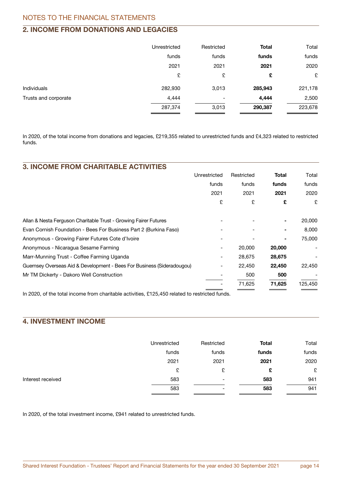## **2. INCOME FROM DONATIONS AND LEGACIES**

|                      | Unrestricted | Restricted | Total   | Total   |
|----------------------|--------------|------------|---------|---------|
|                      | funds        | funds      | funds   | funds   |
|                      | 2021         | 2021       | 2021    | 2020    |
|                      | £            | £          | £       | £       |
| <b>Individuals</b>   | 282,930      | 3,013      | 285,943 | 221,178 |
| Trusts and corporate | 4,444        |            | 4,444   | 2,500   |
|                      | 287,374      | 3,013      | 290,387 | 223,678 |

In 2020, of the total income from donations and legacies, £219,355 related to unrestricted funds and £4,323 related to restricted funds.

| <b>3. INCOME FROM CHARITABLE ACTIVITIES</b>                            |              |            |        |         |
|------------------------------------------------------------------------|--------------|------------|--------|---------|
|                                                                        | Unrestricted | Restricted | Total  | Total   |
|                                                                        | funds        | funds      | funds  | funds   |
|                                                                        | 2021         | 2021       | 2021   | 2020    |
|                                                                        | £            | £          | £      | £       |
| Allan & Nesta Ferguson Charitable Trust - Growing Fairer Futures       |              |            |        | 20,000  |
| Evan Cornish Foundation - Bees For Business Part 2 (Burkina Faso)      |              |            |        | 8,000   |
| Anonymous - Growing Fairer Futures Cote d'Ivoire                       |              |            |        | 75,000  |
| Anonymous - Nicaragua Sesame Farming                                   |              | 20,000     | 20,000 |         |
| Marr-Munning Trust - Coffee Farming Uganda                             |              | 28,675     | 28,675 |         |
| Guernsey Overseas Aid & Development - Bees For Business (Sideradougou) |              | 22,450     | 22,450 | 22,450  |
| Mr TM Dickerty - Dakoro Well Construction                              |              | 500        | 500    |         |
|                                                                        |              | 71,625     | 71,625 | 125,450 |
|                                                                        |              |            |        |         |

In 2020, of the total income from charitable activities, £125,450 related to restricted funds.

## **4. INVESTMENT INCOME**

|                   | Unrestricted | Restricted               | <b>Total</b> | Total |
|-------------------|--------------|--------------------------|--------------|-------|
|                   | funds        | funds                    | funds        | funds |
|                   | 2021         | 2021                     | 2021         | 2020  |
|                   | £            | £                        | £            | £     |
| Interest received | 583          | $\overline{\phantom{0}}$ | 583          | 941   |
|                   | 583          | $\overline{\phantom{0}}$ | 583          | 941   |

In 2020, of the total investment income, £941 related to unrestricted funds.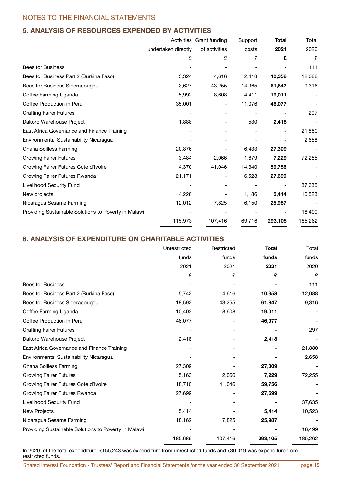## **5. ANALYSIS OF RESOURCES EXPENDED BY ACTIVITIES**

|         |                     | Support                  | <b>Total</b> | Total   |
|---------|---------------------|--------------------------|--------------|---------|
|         | of activities       | costs                    | 2021         | 2020    |
| £       | £                   | £                        | £            | £       |
|         |                     |                          |              | 111     |
| 3,324   | 4,616               | 2,418                    | 10,358       | 12,088  |
| 3,627   | 43,255              | 14,965                   | 61,847       | 9,316   |
| 5,992   | 8,608               | 4,411                    | 19,011       |         |
| 35,001  |                     | 11,076                   | 46,077       |         |
|         |                     |                          |              | 297     |
| 1,888   |                     | 530                      | 2,418        |         |
|         |                     |                          |              | 21,880  |
|         |                     |                          |              | 2,658   |
| 20,876  |                     | 6,433                    | 27,309       |         |
| 3,484   | 2,066               | 1,679                    | 7,229        | 72,255  |
| 4,370   | 41,046              | 14,340                   | 59,756       |         |
| 21,171  |                     | 6,528                    | 27,699       |         |
|         |                     |                          |              | 37,635  |
| 4,228   |                     | 1,186                    | 5,414        | 10,523  |
| 12,012  | 7,825               | 6,150                    | 25,987       |         |
|         |                     |                          |              | 18,499  |
| 115,973 | 107,416             | 69,716                   | 293,105      | 185,262 |
|         | undertaken directly | Activities Grant funding |              |         |

## **6. ANALYSIS OF EXPENDITURE ON CHARITABLE ACTIVITIES**

| Unrestricted | Restricted | <b>Total</b> | Total   |
|--------------|------------|--------------|---------|
| funds        | funds      | funds        | funds   |
| 2021         | 2021       | 2021         | 2020    |
| £            | £          | £            | £       |
|              |            |              | 111     |
| 5,742        | 4,616      | 10,358       | 12,088  |
| 18,592       | 43,255     | 61,847       | 9,316   |
| 10,403       | 8,608      | 19,011       |         |
| 46,077       |            | 46,077       |         |
|              |            |              | 297     |
| 2,418        |            | 2,418        |         |
|              |            |              | 21,880  |
|              |            |              | 2,658   |
| 27,309       |            | 27,309       |         |
| 5,163        | 2,066      | 7,229        | 72,255  |
| 18,710       | 41,046     | 59,756       |         |
| 27,699       |            | 27,699       |         |
|              |            |              | 37,635  |
| 5,414        |            | 5,414        | 10,523  |
| 18,162       | 7,825      | 25,987       |         |
|              |            |              | 18,499  |
| 185,689      | 107,416    | 293,105      | 185,262 |
|              |            |              |         |

In 2020, of the total expenditure, £155,243 was expenditure from unrestricted funds and £30,019 was expenditure from restricted funds.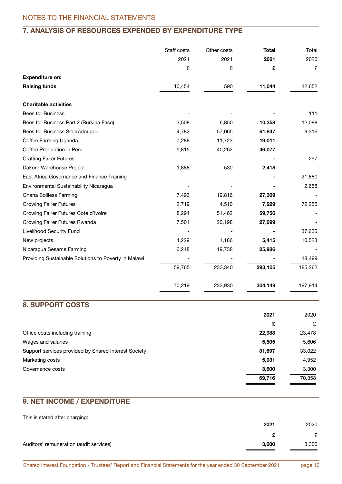## **7. ANALYSIS OF RESOURCES EXPENDED BY EXPENDITURE TYPE**

|                                                      | Staff costs | Other costs | <b>Total</b> | Total   |
|------------------------------------------------------|-------------|-------------|--------------|---------|
|                                                      | 2021        | 2021        | 2021         | 2020    |
|                                                      | £           | £           | £            | £       |
| <b>Expenditure on:</b>                               |             |             |              |         |
| <b>Raising funds</b>                                 | 10,454      | 590         | 11,044       | 12,652  |
| <b>Charitable activities</b>                         |             |             |              |         |
| Bees for Business                                    |             |             |              | 111     |
| Bees for Business Part 2 (Burkina Faso)              | 3,508       | 6,850       | 10,358       | 12,088  |
| Bees for Business Sideradougou                       | 4,782       | 57,065      | 61,847       | 9,316   |
| Coffee Farming Uganda                                | 7,288       | 11,723      | 19,011       |         |
| Coffee Production in Peru                            | 5,815       | 40,262      | 46,077       |         |
| <b>Crafting Fairer Futures</b>                       |             |             |              | 297     |
| Dakoro Warehouse Project                             | 1,888       | 530         | 2,418        |         |
| East Africa Governance and Finance Training          |             |             |              | 21,880  |
| Environmental Sustainability Nicaragua               |             |             |              | 2,658   |
| Ghana Soilless Farming                               | 7,493       | 19,816      | 27,309       |         |
| <b>Growing Fairer Futures</b>                        | 2,719       | 4,510       | 7,229        | 72,255  |
| Growing Fairer Futures Cote d'Ivoire                 | 8,294       | 51,462      | 59,756       |         |
| Growing Fairer Futures Rwanda                        | 7,501       | 20,198      | 27,699       |         |
| Livelihood Security Fund                             |             |             |              | 37,635  |
| New projects                                         | 4,229       | 1,186       | 5,415        | 10,523  |
| Nicaragua Sesame Farming                             | 6,248       | 19,738      | 25,986       |         |
| Providing Sustainable Solutions to Poverty in Malawi |             |             |              | 18,499  |
|                                                      | 59,765      | 233,340     | 293,105      | 185,262 |
|                                                      | 70,219      | 233,930     | 304,149      | 197,914 |

## **8. SUPPORT COSTS**

|                                                      | 2021   | 2020   |
|------------------------------------------------------|--------|--------|
|                                                      | £      | £      |
| Office costs including training                      | 22,983 | 23,478 |
| Wages and salaries                                   | 5,505  | 5,606  |
| Support services provided by Shared Interest Society | 31,697 | 33,022 |
| Marketing costs                                      | 5,931  | 4,952  |
| Governance costs                                     | 3,600  | 3,300  |
|                                                      | 69,716 | 70,358 |
|                                                      |        |        |

## **9. NET INCOME / EXPENDITURE**

This is stated after charging:

|                                         | 2021  | 2020  |
|-----------------------------------------|-------|-------|
|                                         |       | £     |
| Auditors' remuneration (audit services) | 3.600 | 3,300 |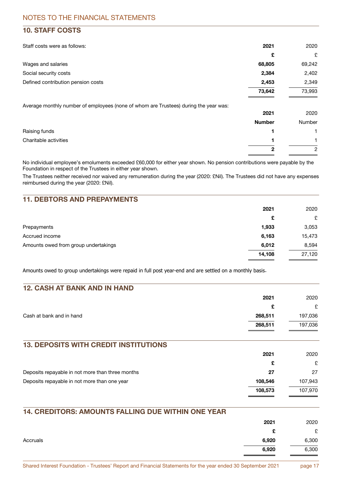## **10. STAFF COSTS**

| Staff costs were as follows:                                                         | 2021          | 2020           |
|--------------------------------------------------------------------------------------|---------------|----------------|
|                                                                                      | £             | £              |
| Wages and salaries                                                                   | 68,805        | 69,242         |
| Social security costs                                                                | 2,384         | 2,402          |
| Defined contribution pension costs                                                   | 2,453         | 2,349          |
|                                                                                      | 73,642        | 73,993         |
| Average monthly number of employees (none of whom are Trustees) during the year was: |               |                |
|                                                                                      | 2021          | 2020           |
|                                                                                      | <b>Number</b> | Number         |
| Raising funds                                                                        |               |                |
| Charitable activities                                                                |               |                |
|                                                                                      | 2             | $\overline{2}$ |

No individual employee's emoluments exceeded £60,000 for either year shown. No pension contributions were payable by the Foundation in respect of the Trustees in either year shown.

The Trustees neither received nor waived any remuneration during the year (2020: £Nil). The Trustees did not have any expenses reimbursed during the year (2020: £Nil).

## **11. DEBTORS AND PREPAYMENTS**

|                                      | 2021   | 2020   |
|--------------------------------------|--------|--------|
|                                      | £      | £      |
| Prepayments                          | 1,933  | 3,053  |
| Accrued income                       | 6,163  | 15,473 |
| Amounts owed from group undertakings | 6,012  | 8,594  |
|                                      | 14,108 | 27,120 |

Amounts owed to group undertakings were repaid in full post year-end and are settled on a monthly basis .

| <b>12. CASH AT BANK AND IN HAND</b>              |         |         |
|--------------------------------------------------|---------|---------|
|                                                  | 2021    | 2020    |
|                                                  | £       | £       |
| Cash at bank and in hand                         | 268,511 | 197,036 |
|                                                  | 268,511 | 197,036 |
| <b>13. DEPOSITS WITH CREDIT INSTITUTIONS</b>     | 2021    | 2020    |
|                                                  | £       | £       |
| Deposits repayable in not more than three months | 27      | 27      |
| Deposits repayable in not more than one year     | 108,546 | 107,943 |
|                                                  | 108,573 | 107,970 |
|                                                  |         |         |

## **14. CREDITORS: AMOUNTS FALLING DUE WITHIN ONE YEAR 2021** 2020 £ £  $\,$  Accruals  $\,$  6,300  $\,$  6,300  $\,$  6,300  $\,$  6,300  $\,$  6,300  $\,$  6,300  $\,$  6,300  $\,$  $\overline{6,920}$  6,300